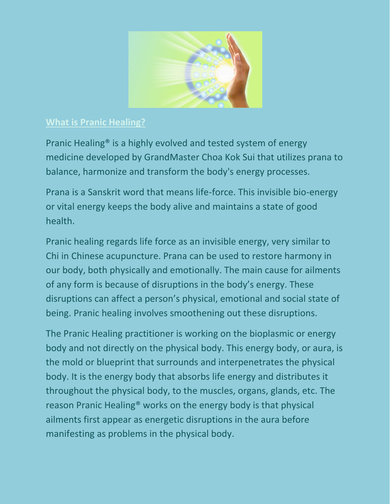

## **What is Pranic Healing?**

Pranic Healing® is a highly evolved and tested system of energy medicine developed by GrandMaster Choa Kok Sui that utilizes prana to balance, harmonize and transform the body's energy processes.

Prana is a Sanskrit word that means life-force. This invisible bio-energy or vital energy keeps the body alive and maintains a state of good health.

Pranic healing regards life force as an invisible energy, very similar to Chi in Chinese acupuncture. Prana can be used to restore harmony in our body, both physically and emotionally. The main cause for ailments of any form is because of disruptions in the body's energy. These disruptions can affect a person's physical, emotional and social state of being. Pranic healing involves smoothening out these disruptions.

The Pranic Healing practitioner is working on the bioplasmic or energy body and not directly on the physical body. This energy body, or aura, is the mold or blueprint that surrounds and interpenetrates the physical body. It is the energy body that absorbs life energy and distributes it throughout the physical body, to the muscles, organs, glands, etc. The reason Pranic Healing® works on the energy body is that physical ailments first appear as energetic disruptions in the aura before manifesting as problems in the physical body.